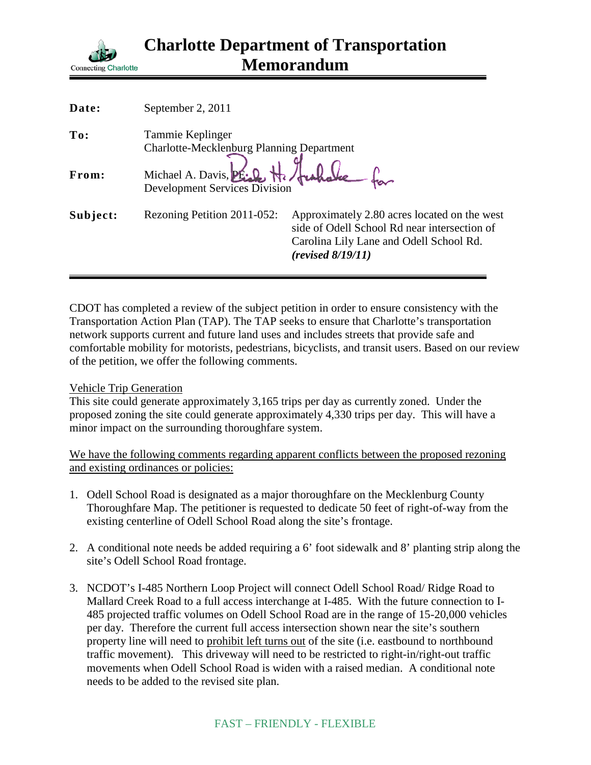

| Date:    | September 2, 2011                                                  |                                                                                                                                                              |
|----------|--------------------------------------------------------------------|--------------------------------------------------------------------------------------------------------------------------------------------------------------|
| To:      | Tammie Keplinger                                                   |                                                                                                                                                              |
|          | <b>Charlotte-Mecklenburg Planning Department</b>                   |                                                                                                                                                              |
| From:    | Michael A. Davis, PE Le Ha<br><b>Development Services Division</b> |                                                                                                                                                              |
| Subject: | Rezoning Petition 2011-052:                                        | Approximately 2.80 acres located on the west<br>side of Odell School Rd near intersection of<br>Carolina Lily Lane and Odell School Rd.<br>(revised 8/19/11) |

CDOT has completed a review of the subject petition in order to ensure consistency with the Transportation Action Plan (TAP). The TAP seeks to ensure that Charlotte's transportation network supports current and future land uses and includes streets that provide safe and comfortable mobility for motorists, pedestrians, bicyclists, and transit users. Based on our review of the petition, we offer the following comments.

## Vehicle Trip Generation

This site could generate approximately 3,165 trips per day as currently zoned. Under the proposed zoning the site could generate approximately 4,330 trips per day. This will have a minor impact on the surrounding thoroughfare system.

We have the following comments regarding apparent conflicts between the proposed rezoning and existing ordinances or policies:

- 1. Odell School Road is designated as a major thoroughfare on the Mecklenburg County Thoroughfare Map. The petitioner is requested to dedicate 50 feet of right-of-way from the existing centerline of Odell School Road along the site's frontage.
- 2. A conditional note needs be added requiring a 6' foot sidewalk and 8' planting strip along the site's Odell School Road frontage.
- 3. NCDOT's I-485 Northern Loop Project will connect Odell School Road/ Ridge Road to Mallard Creek Road to a full access interchange at I-485. With the future connection to I-485 projected traffic volumes on Odell School Road are in the range of 15-20,000 vehicles per day. Therefore the current full access intersection shown near the site's southern property line will need to prohibit left turns out of the site (i.e. eastbound to northbound traffic movement). This driveway will need to be restricted to right-in/right-out traffic movements when Odell School Road is widen with a raised median. A conditional note needs to be added to the revised site plan.